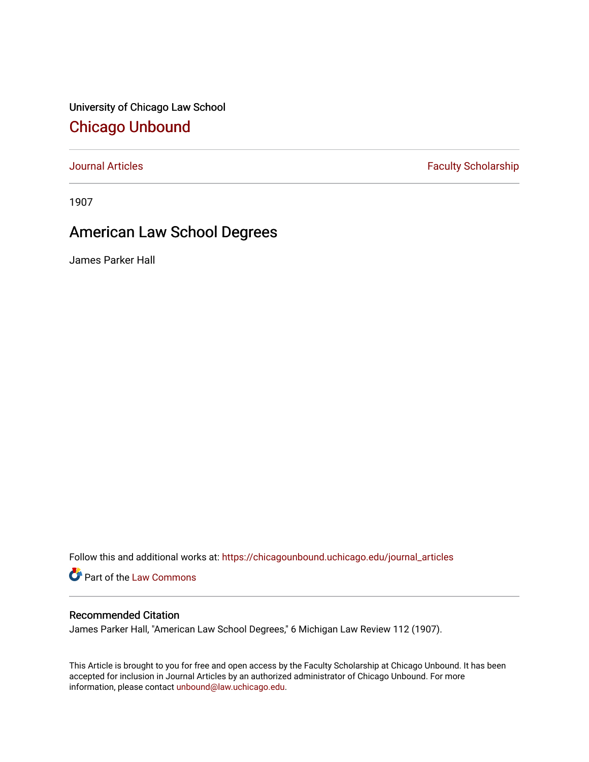University of Chicago Law School [Chicago Unbound](https://chicagounbound.uchicago.edu/)

[Journal Articles](https://chicagounbound.uchicago.edu/journal_articles) **Faculty Scholarship Faculty Scholarship** 

1907

## American Law School Degrees

James Parker Hall

Follow this and additional works at: [https://chicagounbound.uchicago.edu/journal\\_articles](https://chicagounbound.uchicago.edu/journal_articles?utm_source=chicagounbound.uchicago.edu%2Fjournal_articles%2F8887&utm_medium=PDF&utm_campaign=PDFCoverPages) 

Part of the [Law Commons](http://network.bepress.com/hgg/discipline/578?utm_source=chicagounbound.uchicago.edu%2Fjournal_articles%2F8887&utm_medium=PDF&utm_campaign=PDFCoverPages)

## Recommended Citation

James Parker Hall, "American Law School Degrees," 6 Michigan Law Review 112 (1907).

This Article is brought to you for free and open access by the Faculty Scholarship at Chicago Unbound. It has been accepted for inclusion in Journal Articles by an authorized administrator of Chicago Unbound. For more information, please contact [unbound@law.uchicago.edu](mailto:unbound@law.uchicago.edu).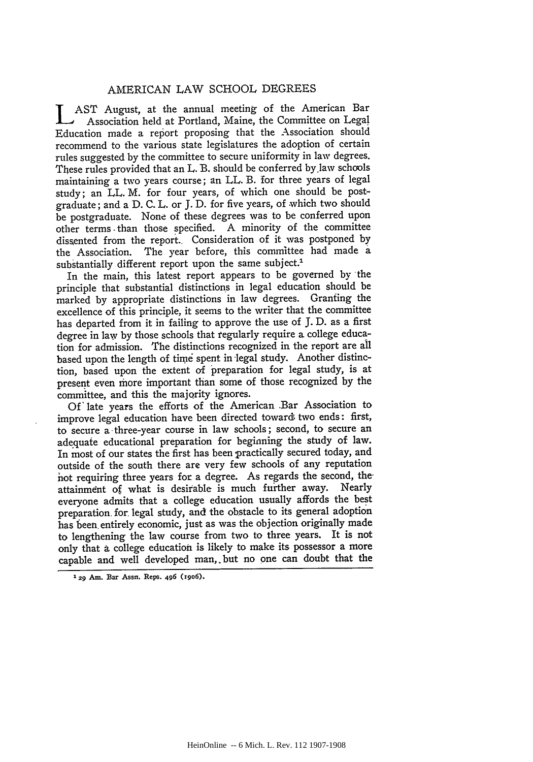## AMERICAN LAW SCHOOL DEGREES

**L AST** August, at the annual meeting of the American Bar Association held at Portland, Maine, the Committee on Legal Education made a report proposing that the Association should recommend to the various state legislatures the adoption of certain rules suggested by the committee to secure uniformity in law degrees. These rules provided that an L. B. should be conferred by law schools maintaining a two years course; an LL. B. for three years of legal study; an LL. M. for four years, of which one should be postgraduate; and a D. C. L. or J. D. for five years, of which two should be postgraduate. None of these degrees was to be conferred upon other terms -than those specified. A minority of the committee dissented from the report.. Consideration of it was postponed by the Association. The year before, this committee had made a substantially different report upon the same subject.<sup>1</sup>

In the main, this latest report appears to be governed by the principle that substantial distinctions in legal education should be marked by appropriate distinctions in law degrees. Granting the excellence of this principle, it seems to the writer that the committee has departed from it in failing to approve the use of J. D. as a first degree in law by those schools that tegularly require a college education for admission. The distinctions recognized in the report are all based upon the length of time' spent in legal study. Another distinction, based upon the extent of preparation for legal study, is at present even more important than some of those recognized by the committee, and this the majority ignores.

Of" late years the efforts of the American .Bar Association to improve legal education have been directed toward, two ends: first, to secure a three-year course in law schools; second, to secure an adequate educational preparation for beginning the study of law. In most of our states the first has been practically secured today, and outside of the south there are very few schools of any reputation hot requiring three years for a degree. As regards the second, theattainment of what is desirable is much fuither away. Nearly everyone admits that a college education usually affords the best preparation. for legal study, and the obstacle to its general adoption has been entirely economic, just as was the objection originally made to lengthening the law course from two to three years. It is not only that a college education is likely to make its possessor a more capable and well developed man,. but no one can doubt that the

**129 Am. Bar** Assn. **Reps.** *496* **(r9o6).**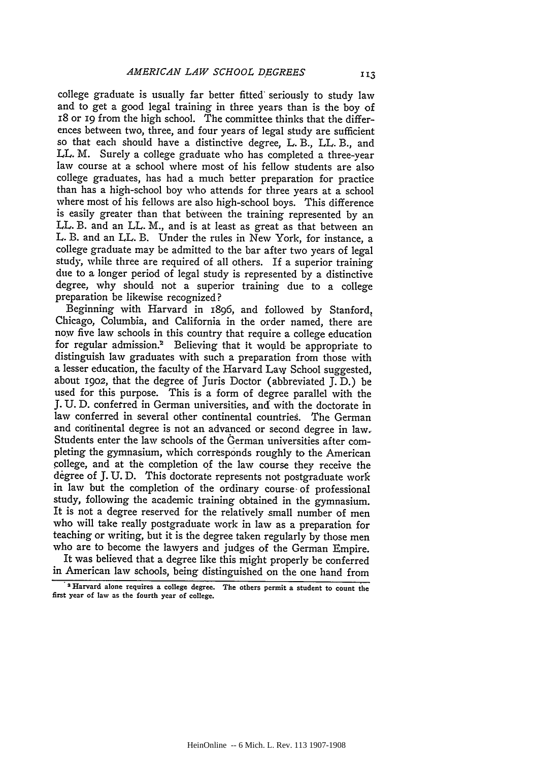college graduate is usually far better fitted' seriously to study law and to get a good legal training in three years than is the boy of i8 or 19 from the high school. The committee thinks that the differences between two, three, and four years of legal study are sufficient so that each should have a distinctive degree, L. B., LL. B., and LL. M. Surely a college graduate who has completed a three-year law course at a school where most of his fellow students are also college graduates, has had a much better preparation for practice than has a high-school boy who attends for three years at a school where most of his fellows are also high-school boys. This difference is easily greater than that between the training represented by an LL. B. and an LL. M., and is at least as great as that between an L. B. and an LL. B. Under the rules in New York, for instance, a college graduate may be admitted to the bar after two years of legal study, while three are required of all others. If a superior training due to a longer period of legal study is represented by a distinctive degree, why should not a superior training due to a college preparation be likewise recognized?

Beginning with Harvard in 1896, and followed by Stanford, Chicago, Columbia, and California in the order named, there are now five law schools in this country that require a college education for regular admission.<sup>2</sup> Believing that it would be appropriate to distinguish law graduates with such a preparation from those with a lesser education, the faculty of the Harvard Law School suggested, about **19o2,** that the degree of Juris Doctor (abbreviated J. D.) be used for this purpose. This is a form of degree parallel with the J. U. D. conferred in German universities, and with the doctorate in law conferred in several other continental countries. The German and continental degree is not an advanced or second degree in law, Students enter the law schools of the German universities after completing the gymnasium, which corresponds roughly to the American college, and at the completion of the law course they receive the degree of J.U.D. This doctorate represents not postgraduate work in law but the completion of the ordinary course-of professional study, following the academic training obtained in the gymnasium. It is not a degree reserved for the relatively small number of men who will take really postgraduate work in law as a preparation for teaching or writing, but it is the degree taken regularly by those men who are to become the lawyers and judges of the German Empire.

It was believed that a degree like this might properly be conferred in American law schools, being distinguished on the one hand from

**<sup>2</sup> Harvard alone requires a college degree. The others permit a student to count the first year of law as the fourth year of college.**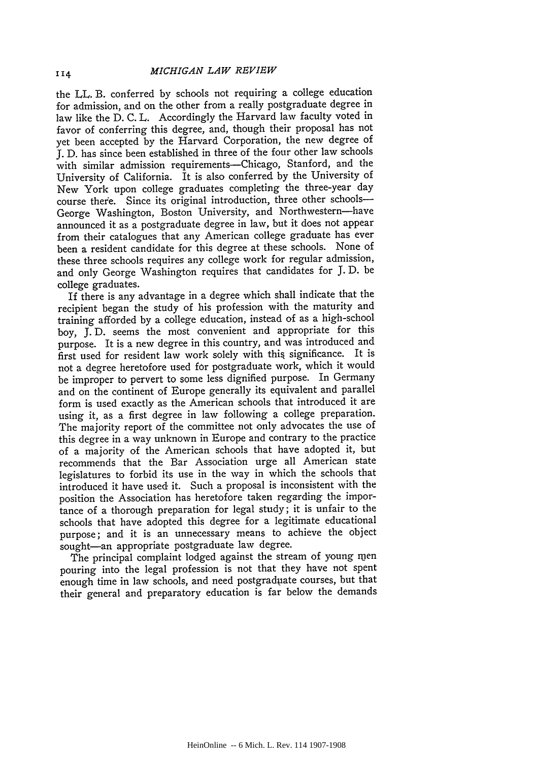the LL. B. conferred by schools not requiring a college education for admission, and on the other from a really postgraduate degree in law like the D. C. L. Accordingly the Harvard law faculty voted in favor of conferring this degree, and, though their proposal has not yet been accepted by the Harvard Corporation, the new degree of **J.** D. has since been established in three of the four other law schools with similar admission requirements-Chicago, Stanford, and the University of California. It is also conferred by the University of New York upon college graduates completing the three-year day course there. Since its original introduction, three other schools-George Washington, Boston University, and Northwestern-have announced it as a postgraduate degree in law, but it does not appear from their catalogues that any American college graduate has ever been a resident candidate for this degree at these schools. None of these three schools requires any college work for regular admission, and only George Washington requires that candidates for J. D. be college graduates.

If there is any advantage in a degree which shall indicate that the recipient began the study of his profession with the maturity and training afforded by a college education, instead of as a high-school boy, J. D. seems the most convenient and appropriate for this purpose. It is a new degree in this country, and was introduced and first used for resident law work solely with thiq significance. It is not a degree heretofore used for postgraduate work, which it would be improper to pervert to some less dignified purpose. In Germany and on the continent of Europe generally its equivalent and parallel form is used exactly as the American schools that introduced it are using it, as a first degree in law following a college preparation. The majority report of the committee not only advocates the use of this degree in a way unknown in Europe and contrary to the practice of a majority of the American schools that have adopted it, but recommends that the Bar Association urge all American state legislatures to forbid its use in the way in which the schools that introduced it have used it. Such a proposal is inconsistent with the position the Association has heretofore taken regarding the importance of a thorough preparation for legal study; it is unfair to the schools that have adopted this degree for a legitimate educational purpose; and it is an unnecessary means to achieve the object sought-an appropriate postgraduate law degree.

The principal complaint lodged against the stream of young men pouring into the legal profession is not that they have not spent enough time in law schools, and need postgraduate courses, but that their general and preparatory education is far below the demands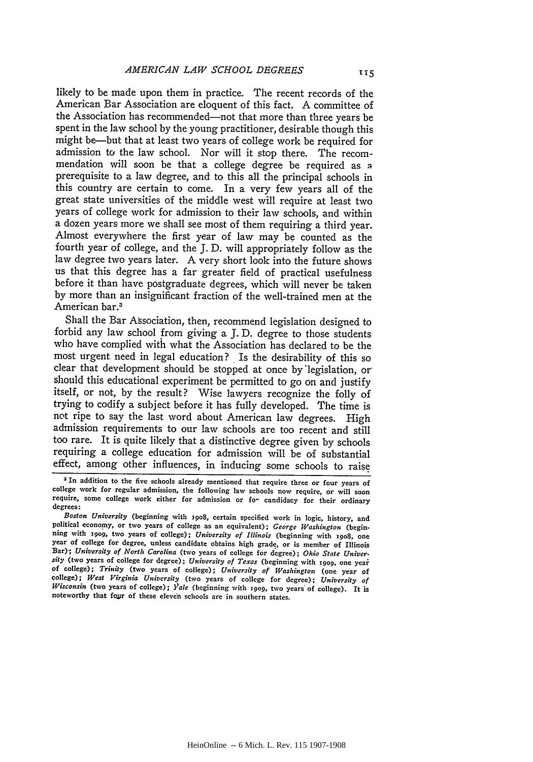likely to be made upon them in practice. The recent records of the American Bar Association are eloquent of this fact. A committee of the Association has recommended—not that more than three years be spent in the law school by the young practitioner, desirable though this might be-but that at least two years of college work be required for admission to the law school. Nor will it stop there. The recommendation will soon be that a college degree be required as a prerequisite to a law degree, and to this all the principal schools in this country are certain to come. In a very few years all of the great state universities of the middle west will require at least two years of college work for admission to their law schools, and within a dozen years more we shall see most of them requiring a third year. Almost everywhere the first year of law may be counted as the fourth year of college, and the J. D. will appropriately follow as the law degree two years later. A very short look into the future shows us that this degree has a far greater field of practical usefulness before it than have postgraduate degrees, which will never be taken by more than an insignificant fraction of the well-trained men at the American bar.3

Shall the Bar Association, then, recommend legislation designed to forbid any law school from giving a J. D. degree to those students who have complied with what the Association has declared to be the most urgent need in legal education? Is the desirability of this so clear that development should be stopped at once by'legislation, or" should this educational experiment be permitted to go on and justify itself, or not, by the result? Wise lawyers recognize the folly of trying to codify a subject before it has fully developed. The time is not ripe to say the last word about American law degrees. High admission requirements to our law schools are too recent and still too rare. It is quite likely that a distinctive degree given by schools requiring a college education for admission will be of substantial effect, among other influences, in inducing some schools to raise

<sup>&</sup>lt;sup>3</sup> In addition to the five schools already mentioned that require three or four years of college work for regular admission, the following law schools now require, or will soon require, some college work either for admiss

degrees:<br> *Boston University* (beginning with 1908, certain specified work in logic, history, and<br>
political economy, or two years of college as an equivalent); *George Washington* (begin-<br>
political economy, or two years *Wisconsin* (two years of college); Yale (beginning with 1909, two years of college). It is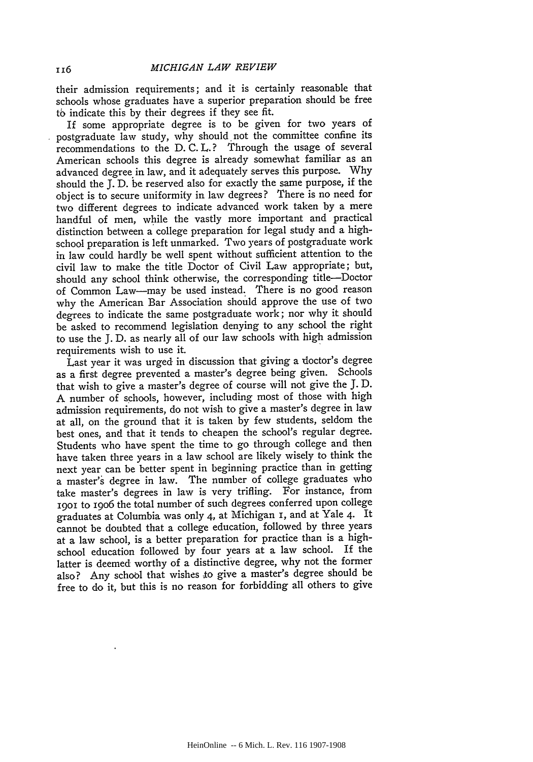their admission requirements; and it is certainly reasonable that schools whose graduates have a superior preparation should be free to indicate this by their degrees if they see fit.

If some appropriate degree is to be given for two years of postgraduate law study, why should not the committee confine its recommendations to the D. C. L.? Through the usage of several American schools this degree is already somewhat familiar as an advanced degree in law, and it adequately serves this purpose. Why should the J. D. be reserved also for exactly the same purpose, if the object is to secure uniformity in law degrees? There is no need for two different degrees to indicate advanced work taken by a mere handful of men, while the vastly more important and practical distinction between a college preparation for legal study and a highschool preparation is left unmarked. Two years of postgraduate work in law could hardly be well spent without sufficient attention to the civil law to make the title Doctor of Civil Law appropriate; but, should any school think otherwise, the corresponding title-Doctor of Common Law-may be used instead. There is no good reason why the American Bar Association should approve the use of two degrees to indicate the same postgraduate work; nor why it should be asked to recommend legislation denying to any school the right to use the J. D. as nearly all of our law schools with high admission requirements wish to use it.

Last year it was urged in discussion that giving a doctor's degree as a first degree prevented a master's degree being given. Schools that wish to give a master's degree of course will not give the J. D. A number of schools, however, including most of those with high admission requirements, do not wish to give a master's degree in law at all, on the ground that it is taken by few students, seldom the best ones, and that it tends to cheapen the school's regular degree. Students who have spent the time to go through college and then have taken three years in a law school are likely wisely to think the next year can be better spent in beginning practice than in getting a master's degree in law. The number of college graduates who take master's degrees in law is very trifling. For instance, from **i9oi** to 19o6 the total number of such degrees conferred upon college graduates at Columbia was only 4, at Michigan i, and at Yale 4. It cannot be doubted that a college education, followed by three years at a law school, is a better preparation for practice than is a highschool education followed by four years at a law school. If the latter is deemed worthy of a distinctive degree, why not the former also? Any school that wishes to give a master's degree should be free to do it, but this is no reason for forbidding all others to give

HeinOnline -- 6 Mich. L. Rev. 116 1907-1908